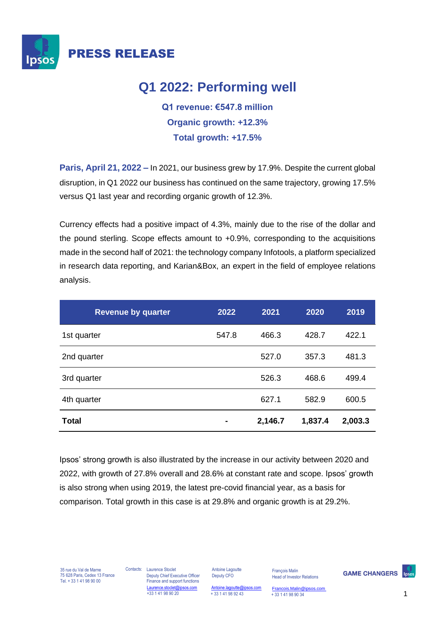

# **Q1 2022: Performing well**

**Q1 revenue: €547.8 million Organic growth: +12.3% Total growth: +17.5%**

**Paris, April 21, 2022 –** In 2021, our business grew by 17.9%. Despite the current global disruption, in Q1 2022 our business has continued on the same trajectory, growing 17.5% versus Q1 last year and recording organic growth of 12.3%.

Currency effects had a positive impact of 4.3%, mainly due to the rise of the dollar and the pound sterling. Scope effects amount to +0.9%, corresponding to the acquisitions made in the second half of 2021: the technology company Infotools, a platform specialized in research data reporting, and Karian&Box, an expert in the field of employee relations analysis.

| <b>Revenue by quarter</b> | 2022  | 2021    | 2020    | 2019    |
|---------------------------|-------|---------|---------|---------|
| 1st quarter               | 547.8 | 466.3   | 428.7   | 422.1   |
| 2nd quarter               |       | 527.0   | 357.3   | 481.3   |
| 3rd quarter               |       | 526.3   | 468.6   | 499.4   |
| 4th quarter               |       | 627.1   | 582.9   | 600.5   |
| <b>Total</b>              |       | 2,146.7 | 1,837.4 | 2,003.3 |

Ipsos' strong growth is also illustrated by the increase in our activity between 2020 and 2022, with growth of 27.8% overall and 28.6% at constant rate and scope. Ipsos' growth is also strong when using 2019, the latest pre-covid financial year, as a basis for comparison. Total growth in this case is at 29.8% and organic growth is at 29.2%.

35 rue du Val de Marne 75 628 Paris, Cedex 13 France Tel. + 33 1 41 98 90 00

Contacts: Laurence Stoclet Deputy Chief Executive Officer Finance and support functions Laurence.stoclet@ipsos.com +33 1 41 98 90 20

Antoine Lagoutte Deputy CFO

 $Antoine.lagoutte@ipsos.com  
+ 33 1 41 98 92 43$  $Antoine.lagoutte@ipsos.com  
+ 33 1 41 98 92 43$ Head of Investor Relations

François Malin

+ 33 1 41 98 92 43 + 33 1 41 98 90 34 [Francois.Malin@ipsos.com](mailto:Francois.malin@ipsos.com) 

**GAME CHANGERS**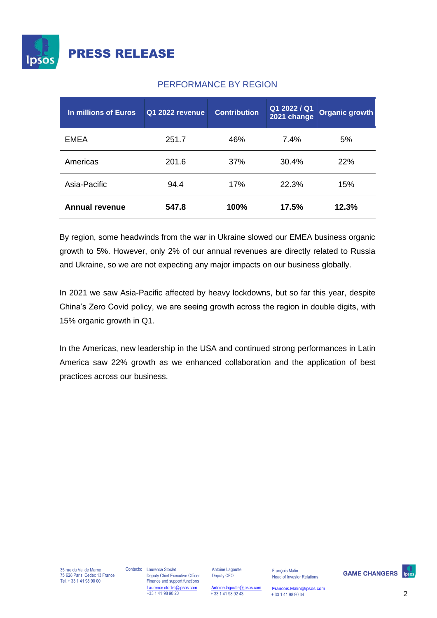

#### PERFORMANCE BY REGION

| In millions of Euros  | Q1 2022 revenue | <b>Contribution</b> | Q1 2022 / Q1<br>2021 change | <b>Organic growth</b> |
|-----------------------|-----------------|---------------------|-----------------------------|-----------------------|
| <b>EMEA</b>           | 251.7           | 46%                 | 7.4%                        | 5%                    |
| Americas              | 201.6           | 37%                 | 30.4%                       | 22%                   |
| Asia-Pacific          | 94.4            | 17%                 | 22.3%                       | 15%                   |
| <b>Annual revenue</b> | 547.8           | 100%                | 17.5%                       | 12.3%                 |

By region, some headwinds from the war in Ukraine slowed our EMEA business organic growth to 5%. However, only 2% of our annual revenues are directly related to Russia and Ukraine, so we are not expecting any major impacts on our business globally.

In 2021 we saw Asia-Pacific affected by heavy lockdowns, but so far this year, despite China's Zero Covid policy, we are seeing growth across the region in double digits, with 15% organic growth in Q1.

In the Americas, new leadership in the USA and continued strong performances in Latin America saw 22% growth as we enhanced collaboration and the application of best practices across our business.

Contacts: Laurence Stoclet Deputy Chief Executive Officer Finance and support functions Laurence.stoclet@ipsos.com +33 1 41 98 90 20

Antoine Lagoutte Deputy CFO

 $Antoine.lagoutte@ipsos.com  
+ 33 1 41 98 92 43$  $Antoine.lagoutte@ipsos.com  
+ 33 1 41 98 92 43$ 

François Malin Head of Investor Relations

+ 33 1 41 98 92 43 2 + 33 1 41 98 90 34 [Francois.Malin@ipsos.com](mailto:Francois.malin@ipsos.com) 

**GAME CHANGERS**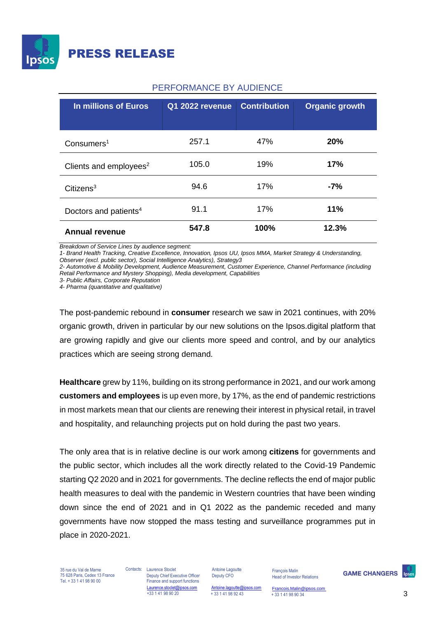

#### PERFORMANCE BY AUDIENCE

| In millions of Euros               | Q1 2022 revenue | <b>Contribution</b> | <b>Organic growth</b> |
|------------------------------------|-----------------|---------------------|-----------------------|
| Consumers <sup>1</sup>             | 257.1           | 47%                 | <b>20%</b>            |
| Clients and employees <sup>2</sup> | 105.0           | 19%                 | 17%                   |
| Citizens <sup>3</sup>              | 94.6            | 17%                 | -7%                   |
| Doctors and patients <sup>4</sup>  | 91.1            | 17%                 | 11%                   |
| <b>Annual revenue</b>              | 547.8           | 100%                | 12.3%                 |

*Breakdown of Service Lines by audience segment:*

*1- Brand Health Tracking, Creative Excellence, Innovation, Ipsos UU, Ipsos MMA, Market Strategy & Understanding, Observer (excl. public sector), Social Intelligence Analytics), Strategy3*

*2- Automotive & Mobility Development, Audience Measurement, Customer Experience, Channel Performance (including Retail Performance and Mystery Shopping), Media development, Capabilities*

*3- Public Affairs, Corporate Reputation*

*4- Pharma (quantitative and qualitative)*

The post-pandemic rebound in **consumer** research we saw in 2021 continues, with 20% organic growth, driven in particular by our new solutions on the Ipsos.digital platform that are growing rapidly and give our clients more speed and control, and by our analytics practices which are seeing strong demand.

**Healthcare** grew by 11%, building on its strong performance in 2021, and our work among **customers and employees** is up even more, by 17%, as the end of pandemic restrictions in most markets mean that our clients are renewing their interest in physical retail, in travel and hospitality, and relaunching projects put on hold during the past two years.

The only area that is in relative decline is our work among **citizens** for governments and the public sector, which includes all the work directly related to the Covid-19 Pandemic starting Q2 2020 and in 2021 for governments. The decline reflects the end of major public health measures to deal with the pandemic in Western countries that have been winding down since the end of 2021 and in Q1 2022 as the pandemic receded and many governments have now stopped the mass testing and surveillance programmes put in place in 2020-2021.

35 rue du Val de Marne 75 628 Paris, Cedex 13 France Tel. + 33 1 41 98 90 00

Contacts: Laurence Stoclet Deputy Chief Executive Officer Finance and support functions Laurence.stoclet@ipsos.com +33 1 41 98 90 20

Antoine Lagoutte Deputy CFO

François Malin Head of Investor Relations

**GAME CHANGERS** 

 $\frac{\text{Antoine.lagoutte@ipsos.com}}{+ 33141989243}$  $\frac{\text{Antoine.lagoutte@ipsos.com}}{+ 33141989243}$  $\frac{\text{Antoine.lagoutte@ipsos.com}}{+ 33141989243}$ 

[Francois.Malin@ipsos.com](mailto:Francois.malin@ipsos.com)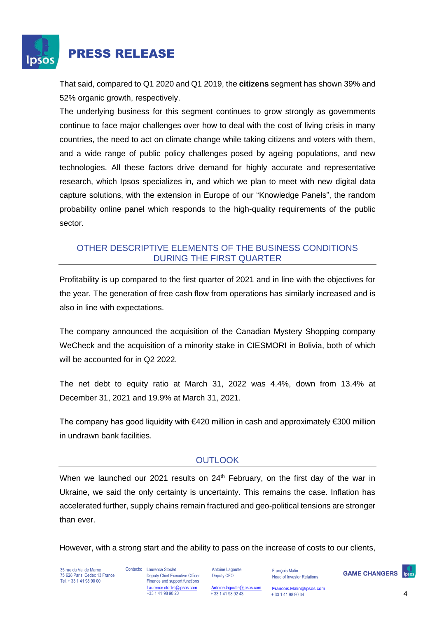

## PRESS RELEASE

That said, compared to Q1 2020 and Q1 2019, the **citizens** segment has shown 39% and 52% organic growth, respectively.

The underlying business for this segment continues to grow strongly as governments continue to face major challenges over how to deal with the cost of living crisis in many countries, the need to act on climate change while taking citizens and voters with them, and a wide range of public policy challenges posed by ageing populations, and new technologies. All these factors drive demand for highly accurate and representative research, which Ipsos specializes in, and which we plan to meet with new digital data capture solutions, with the extension in Europe of our "Knowledge Panels", the random probability online panel which responds to the high-quality requirements of the public sector.

#### OTHER DESCRIPTIVE ELEMENTS OF THE BUSINESS CONDITIONS DURING THE FIRST QUARTER

Profitability is up compared to the first quarter of 2021 and in line with the objectives for the year. The generation of free cash flow from operations has similarly increased and is also in line with expectations.

The company announced the acquisition of the Canadian Mystery Shopping company WeCheck and the acquisition of a minority stake in CIESMORI in Bolivia, both of which will be accounted for in Q2 2022.

The net debt to equity ratio at March 31, 2022 was 4.4%, down from 13.4% at December 31, 2021 and 19.9% at March 31, 2021.

The company has good liquidity with  $\epsilon$ 420 million in cash and approximately  $\epsilon$ 300 million in undrawn bank facilities.

### **OUTLOOK**

When we launched our 2021 results on  $24<sup>th</sup>$  February, on the first day of the war in Ukraine, we said the only certainty is uncertainty. This remains the case. Inflation has accelerated further, supply chains remain fractured and geo-political tensions are stronger than ever.

However, with a strong start and the ability to pass on the increase of costs to our clients,

35 rue du Val de Marne 75 628 Paris, Cedex 13 France Tel. + 33 1 41 98 90 00

Contacts: Laurence Stoclet Deputy Chief Executive Officer Finance and support functions Laurence.stoclet@ipsos.com +33 1 41 98 90 20

Antoine Lagoutte Deputy CFO

 $Antoine.lagoutte@ipsos.com   
+ 33 1 41 98 92 43$  $Antoine.lagoutte@ipsos.com   
+ 33 1 41 98 92 43$ 

François Malin Head of Investor Relations

**GAME CHANGERS** 

 $+$  33 1 41 98 92 43  $+$  33 1 41 98 90 34  $+$ [Francois.Malin@ipsos.com](mailto:Francois.malin@ipsos.com)